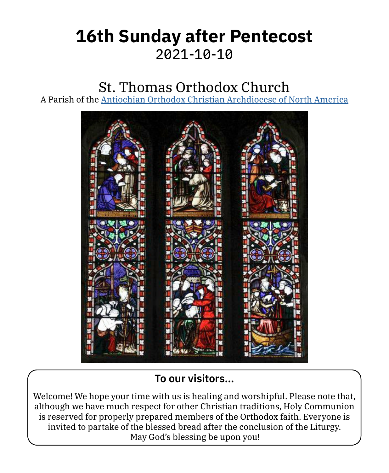# **16th Sunday after Pentecost** 2021‑10‑10

# St. Thomas Orthodox Church

A Parish of the [Antiochian Orthodox Christian Archdiocese of North America](https://www.antiochian.org)



# **To our visitors…**

Welcome! We hope your time with us is healing and worshipful. Please note that, although we have much respect for other Christian traditions, Holy Communion is reserved for properly prepared members of the Orthodox faith. Everyone is invited to partake of the blessed bread after the conclusion of the Liturgy. May God's blessing be upon you!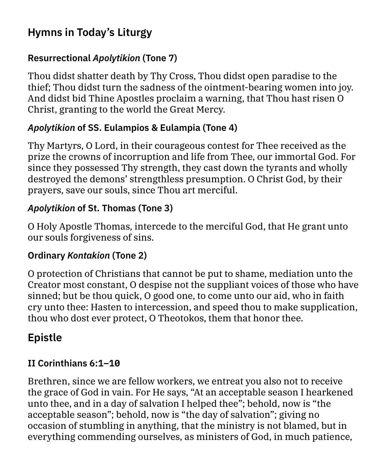# **Hymns in Today's Liturgy**

### **Resurrectional** *Apolytikion* **(Tone 7)**

Thou didst shatter death by Thy Cross, Thou didst open paradise to the thief; Thou didst turn the sadness of the ointment-bearing women into joy. And didst bid Thine Apostles proclaim a warning, that Thou hast risen O Christ, granting to the world the Great Mercy.

### *Apolytikion* **of SS. Eulampios & Eulampia (Tone 4)**

Thy Martyrs, O Lord, in their courageous contest for Thee received as the prize the crowns of incorruption and life from Thee, our immortal God. For since they possessed Thy strength, they cast down the tyrants and wholly destroyed the demons' strengthless presumption. O Christ God, by their prayers, save our souls, since Thou art merciful.

### *Apolytikion* **of St. Thomas (Tone 3)**

O Holy Apostle Thomas, intercede to the merciful God, that He grant unto our souls forgiveness of sins.

#### **Ordinary** *Kontakion* **(Tone 2)**

O protection of Christians that cannot be put to shame, mediation unto the Creator most constant, O despise not the suppliant voices of those who have sinned; but be thou quick, O good one, to come unto our aid, who in faith cry unto thee: Hasten to intercession, and speed thou to make supplication, thou who dost ever protect, O Theotokos, them that honor thee.

# **Epistle**

### **II Corinthians 6:1–10**

Brethren, since we are fellow workers, we entreat you also not to receive the grace of God in vain. For He says, "At an acceptable season I hearkened unto thee, and in a day of salvation I helped thee"; behold, now is "the acceptable season"; behold, now is "the day of salvation"; giving no occasion of stumbling in anything, that the ministry is not blamed, but in everything commending ourselves, as ministers of God, in much patience,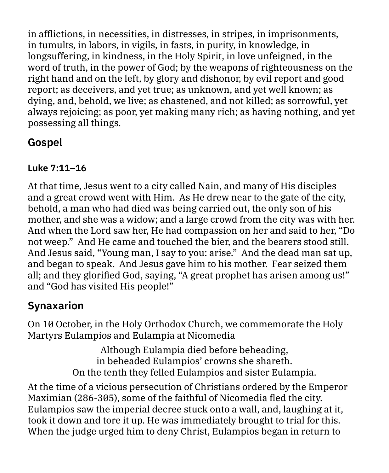in afflictions, in necessities, in distresses, in stripes, in imprisonments, in tumults, in labors, in vigils, in fasts, in purity, in knowledge, in longsuffering, in kindness, in the Holy Spirit, in love unfeigned, in the word of truth, in the power of God; by the weapons of righteousness on the right hand and on the left, by glory and dishonor, by evil report and good report; as deceivers, and yet true; as unknown, and yet well known; as dying, and, behold, we live; as chastened, and not killed; as sorrowful, yet always rejoicing; as poor, yet making many rich; as having nothing, and yet possessing all things.

# **Gospel**

### **Luke 7:11–16**

At that time, Jesus went to a city called Nain, and many of His disciples and a great crowd went with Him. As He drew near to the gate of the city, behold, a man who had died was being carried out, the only son of his mother, and she was a widow; and a large crowd from the city was with her. And when the Lord saw her, He had compassion on her and said to her, "Do not weep." And He came and touched the bier, and the bearers stood still. And Jesus said, "Young man, I say to you: arise." And the dead man sat up, and began to speak. And Jesus gave him to his mother. Fear seized them all; and they glorified God, saying, "A great prophet has arisen among us!" and "God has visited His people!"

# **Synaxarion**

On 10 October, in the Holy Orthodox Church, we commemorate the Holy Martyrs Eulampios and Eulampia at Nicomedia

> Although Eulampia died before beheading, in beheaded Eulampios' crowns she shareth. On the tenth they felled Eulampios and sister Eulampia.

At the time of a vicious persecution of Christians ordered by the Emperor Maximian (286-305), some of the faithful of Nicomedia fled the city. Eulampios saw the imperial decree stuck onto a wall, and, laughing at it, took it down and tore it up. He was immediately brought to trial for this. When the judge urged him to deny Christ, Eulampios began in return to